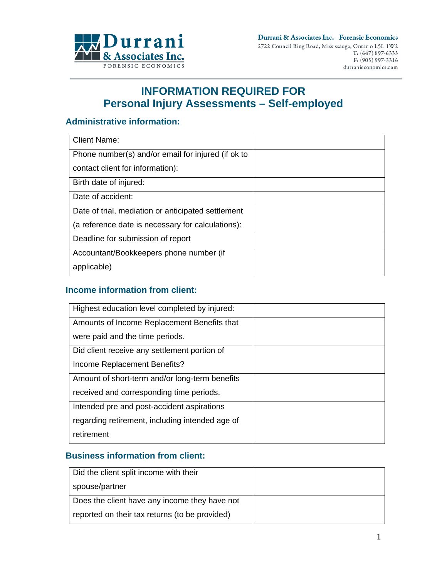

# **INFORMATION REQUIRED FOR Personal Injury Assessments – Self-employed**

## **Administrative information:**

| <b>Client Name:</b>                                |  |
|----------------------------------------------------|--|
| Phone number(s) and/or email for injured (if ok to |  |
| contact client for information):                   |  |
| Birth date of injured:                             |  |
| Date of accident:                                  |  |
| Date of trial, mediation or anticipated settlement |  |
| (a reference date is necessary for calculations):  |  |
| Deadline for submission of report                  |  |
| Accountant/Bookkeepers phone number (if            |  |
| applicable)                                        |  |

#### **Income information from client:**

| Highest education level completed by injured:   |  |
|-------------------------------------------------|--|
| Amounts of Income Replacement Benefits that     |  |
| were paid and the time periods.                 |  |
| Did client receive any settlement portion of    |  |
| Income Replacement Benefits?                    |  |
| Amount of short-term and/or long-term benefits  |  |
| received and corresponding time periods.        |  |
| Intended pre and post-accident aspirations      |  |
| regarding retirement, including intended age of |  |
| retirement                                      |  |

### **Business information from client:**

| Did the client split income with their         |  |
|------------------------------------------------|--|
| spouse/partner                                 |  |
| Does the client have any income they have not  |  |
| reported on their tax returns (to be provided) |  |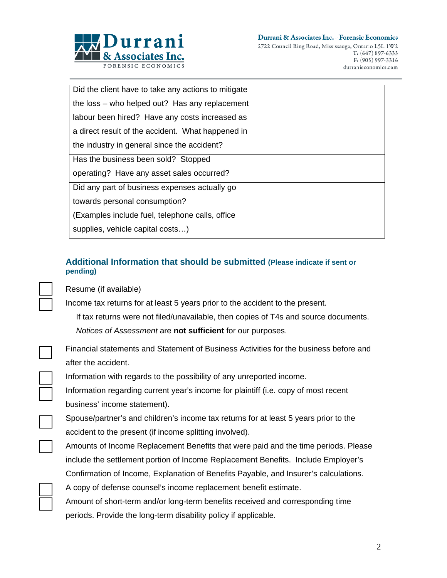

2722 Council Ring Road, Mississauga, Ontario L5L 1W2 T: (647) 897-6333 F: (905) 997-3316 durranieconomics.com

| Did the client have to take any actions to mitigate |  |
|-----------------------------------------------------|--|
| the loss – who helped out? Has any replacement      |  |
| labour been hired? Have any costs increased as      |  |
| a direct result of the accident. What happened in   |  |
| the industry in general since the accident?         |  |
| Has the business been sold? Stopped                 |  |
| operating? Have any asset sales occurred?           |  |
| Did any part of business expenses actually go       |  |
| towards personal consumption?                       |  |
| (Examples include fuel, telephone calls, office)    |  |
| supplies, vehicle capital costs)                    |  |

#### **Additional Information that should be submitted (Please indicate if sent or pending)**

Resume (if available)

Income tax returns for at least 5 years prior to the accident to the present.

If tax returns were not filed/unavailable, then copies of T4s and source documents. *Notices of Assessment* are **not sufficient** for our purposes.

Financial statements and Statement of Business Activities for the business before and after the accident.

Information with regards to the possibility of any unreported income.

Information regarding current year's income for plaintiff (i.e. copy of most recent business' income statement).

Spouse/partner's and children's income tax returns for at least 5 years prior to the accident to the present (if income splitting involved).

Amounts of Income Replacement Benefits that were paid and the time periods. Please include the settlement portion of Income Replacement Benefits. Include Employer's Confirmation of Income, Explanation of Benefits Payable, and Insurer's calculations.

A copy of defense counsel's income replacement benefit estimate.

Amount of short-term and/or long-term benefits received and corresponding time periods. Provide the long-term disability policy if applicable.